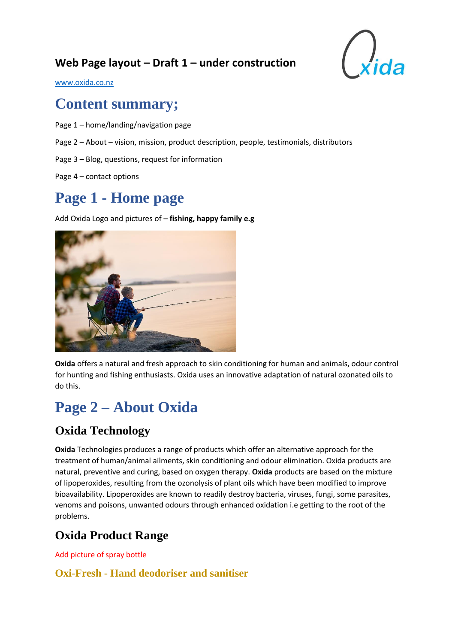## **Web Page layout – Draft 1 – under construction**



[www.oxida.co.nz](http://www.oxida.co.nz/)

## **Content summary;**

- Page 1 home/landing/navigation page
- Page 2 About vision, mission, product description, people, testimonials, distributors
- Page 3 Blog, questions, request for information
- Page 4 contact options

## **Page 1 - Home page**

Add Oxida Logo and pictures of – **fishing, happy family e.g**



**Oxida** offers a natural and fresh approach to skin conditioning for human and animals, odour control for hunting and fishing enthusiasts. Oxida uses an innovative adaptation of natural ozonated oils to do this.

## **Page 2 – About Oxida**

### **Oxida Technology**

**Oxida** Technologies produces a range of products which offer an alternative approach for the treatment of human/animal ailments, skin conditioning and odour elimination. Oxida products are natural, preventive and curing, based on oxygen therapy. **Oxida** products are based on the mixture of lipoperoxides, resulting from the ozonolysis of plant oils which have been modified to improve bioavailability. Lipoperoxides are known to readily destroy bacteria, viruses, fungi, some parasites, venoms and poisons, unwanted odours through enhanced oxidation i.e getting to the root of the problems.

### **Oxida Product Range**

Add picture of spray bottle

**Oxi-Fresh - Hand deodoriser and sanitiser**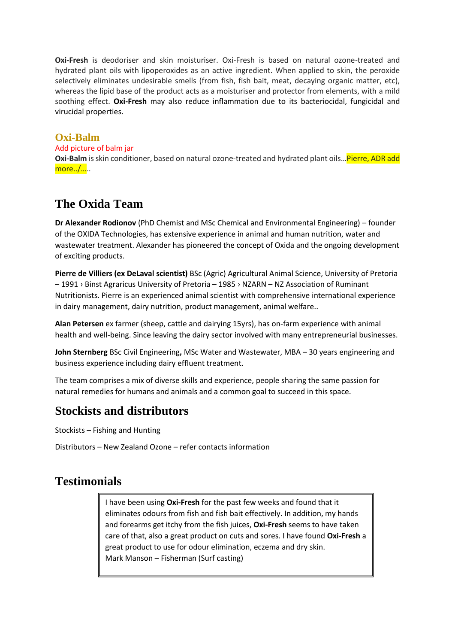**Oxi-Fresh** is deodoriser and skin moisturiser. Oxi-Fresh is based on natural ozone-treated and hydrated plant oils with lipoperoxides as an active ingredient. When applied to skin, the peroxide selectively eliminates undesirable smells (from fish, fish bait, meat, decaying organic matter, etc), whereas the lipid base of the product acts as a moisturiser and protector from elements, with a mild soothing effect. **Oxi-Fresh** may also reduce inflammation due to its bacteriocidal, fungicidal and virucidal properties.

#### **Oxi-Balm**

#### Add picture of balm jar

**Oxi-Balm** is skin conditioner, based on natural ozone-treated and hydrated plant oils…Pierre, ADR add more../…..

### **The Oxida Team**

**Dr Alexander Rodionov** (PhD Chemist and MSc Chemical and Environmental Engineering) – founder of the OXIDA Technologies, has extensive experience in animal and human nutrition, water and wastewater treatment. Alexander has pioneered the concept of Oxida and the ongoing development of exciting products.

**Pierre de Villiers (ex DeLaval scientist)** BSc (Agric) Agricultural Animal Science, University of Pretoria – 1991 › Binst Agraricus University of Pretoria – 1985 › NZARN – NZ Association of Ruminant Nutritionists. Pierre is an experienced animal scientist with comprehensive international experience in dairy management, dairy nutrition, product management, animal welfare..

**Alan Petersen** ex farmer (sheep, cattle and dairying 15yrs), has on-farm experience with animal health and well-being. Since leaving the dairy sector involved with many entrepreneurial businesses.

**John Sternberg** BSc Civil Engineering**,** MSc Water and Wastewater, MBA – 30 years engineering and business experience including dairy effluent treatment.

The team comprises a mix of diverse skills and experience, people sharing the same passion for natural remedies for humans and animals and a common goal to succeed in this space.

### **Stockists and distributors**

Stockists – Fishing and Hunting

Distributors – New Zealand Ozone – refer contacts information

### **Testimonials**

I have been using **Oxi-Fresh** for the past few weeks and found that it eliminates odours from fish and fish bait effectively. In addition, my hands and forearms get itchy from the fish juices, **Oxi-Fresh** seems to have taken care of that, also a great product on cuts and sores. I have found **Oxi-Fresh** a great product to use for odour elimination, eczema and dry skin. Mark Manson – Fisherman (Surf casting)